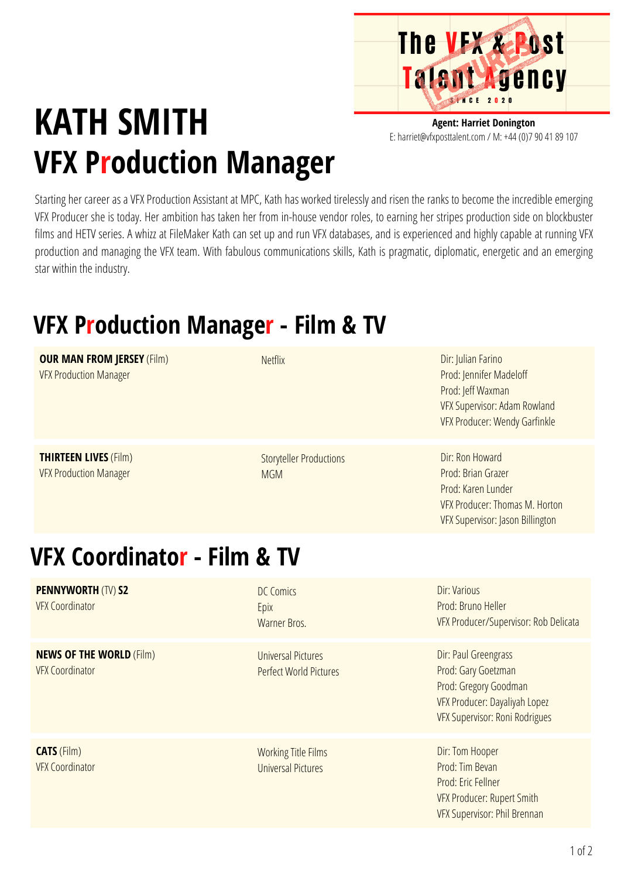

## **KATH SMITH VFX Production Manager**

**Agent: Harriet Donington** E: harriet@vfxposttalent.com / M:+44(0)7904189107

Starting her career as a VFX Production Assistant at MPC, Kath has worked tirelessly and risen the ranks to become the incredible emerging VFX Producer she is today. Her ambition has taken her from in-house vendor roles, to earning her stripes production side on blockbuster films and HETV series. A whizz at FileMaker Kath can set up and run VFX databases, and is experienced and highly capable at running VFX production and managing the VFX team. With fabulous communications skills, Kath is pragmatic, diplomatic, energetic and an emerging star within the industry.

## **VFX Production Manager - Film & TV**

| <b>OUR MAN FROM JERSEY (Film)</b><br><b>VFX Production Manager</b> | <b>Netflix</b>                                             | Dir: Julian Farino<br>Prod: Jennifer Madeloff<br>Prod: Jeff Waxman<br><b>VFX Supervisor: Adam Rowland</b><br><b>VFX Producer: Wendy Garfinkle</b> |  |
|--------------------------------------------------------------------|------------------------------------------------------------|---------------------------------------------------------------------------------------------------------------------------------------------------|--|
| <b>THIRTEEN LIVES (Film)</b><br><b>VFX Production Manager</b>      | <b>Storyteller Productions</b><br><b>MGM</b>               | Dir: Ron Howard<br>Prod: Brian Grazer<br>Prod: Karen Lunder<br>VFX Producer: Thomas M. Horton<br>VFX Supervisor: Jason Billington                 |  |
| VFX Coordinator - Film & TV                                        |                                                            |                                                                                                                                                   |  |
| <b>PENNYWORTH (TV) S2</b><br><b>VFX Coordinator</b>                | <b>DC Comics</b><br>Epix<br>Warner Bros.                   | Dir: Various<br>Prod: Bruno Heller<br>VFX Producer/Supervisor: Rob Delicata                                                                       |  |
| <b>NEWS OF THE WORLD (Film)</b><br><b>VFX Coordinator</b>          | <b>Universal Pictures</b><br><b>Perfect World Pictures</b> | Dir: Paul Greengrass<br>Prod: Gary Goetzman<br>Prod: Gregory Goodman<br>VFX Producer: Dayaliyah Lopez<br>VFX Supervisor: Roni Rodrigues           |  |
| <b>CATS</b> (Film)<br><b>VFX Coordinator</b>                       | <b>Working Title Films</b><br><b>Universal Pictures</b>    | Dir: Tom Hooper<br>Prod: Tim Bevan<br>Prod: Eric Fellner<br>VFX Producer: Rupert Smith                                                            |  |

VFX Supervisor: Phil [Brennan](https://pro.imdb.com/name/nm1184514/?ref_=tt_fm_name)